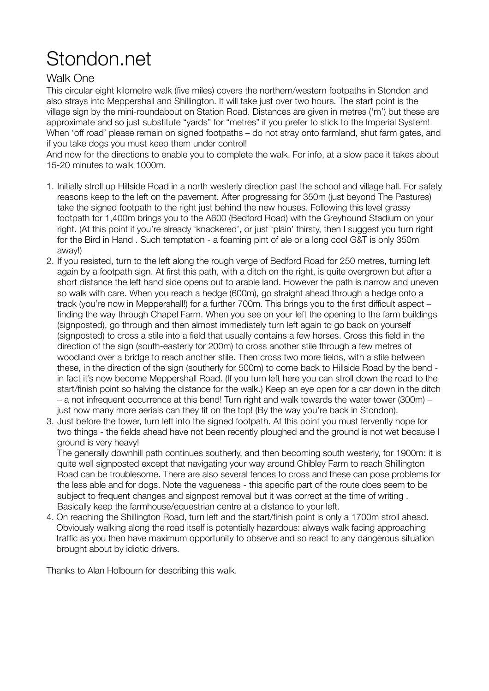## Stondon.net

## Walk One

This circular eight kilometre walk (five miles) covers the northern/western footpaths in Stondon and also strays into Meppershall and Shillington. It will take just over two hours. The start point is the village sign by the mini-roundabout on Station Road. Distances are given in metres ('m') but these are approximate and so just substitute "yards" for "metres" if you prefer to stick to the Imperial System! When 'off road' please remain on signed footpaths – do not stray onto farmland, shut farm gates, and if you take dogs you must keep them under control!

And now for the directions to enable you to complete the walk. For info, at a slow pace it takes about 15-20 minutes to walk 1000m.

- 1. Initially stroll up Hillside Road in a north westerly direction past the school and village hall. For safety reasons keep to the left on the pavement. After progressing for 350m (just beyond The Pastures) take the signed footpath to the right just behind the new houses. Following this level grassy footpath for 1,400m brings you to the A600 (Bedford Road) with the Greyhound Stadium on your right. (At this point if you're already 'knackered', or just 'plain' thirsty, then I suggest you turn right for the Bird in Hand . Such temptation - a foaming pint of ale or a long cool G&T is only 350m away!)
- 2. If you resisted, turn to the left along the rough verge of Bedford Road for 250 metres, turning left again by a footpath sign. At first this path, with a ditch on the right, is quite overgrown but after a short distance the left hand side opens out to arable land. However the path is narrow and uneven so walk with care. When you reach a hedge (600m), go straight ahead through a hedge onto a track (you're now in Meppershall!) for a further 700m. This brings you to the first difficult aspect – finding the way through Chapel Farm. When you see on your left the opening to the farm buildings (signposted), go through and then almost immediately turn left again to go back on yourself (signposted) to cross a stile into a field that usually contains a few horses. Cross this field in the direction of the sign (south-easterly for 200m) to cross another stile through a few metres of woodland over a bridge to reach another stile. Then cross two more fields, with a stile between these, in the direction of the sign (southerly for 500m) to come back to Hillside Road by the bend in fact it's now become Meppershall Road. (If you turn left here you can stroll down the road to the start/finish point so halving the distance for the walk.) Keep an eye open for a car down in the ditch – a not infrequent occurrence at this bend! Turn right and walk towards the water tower (300m) – just how many more aerials can they fit on the top! (By the way you're back in Stondon).
- 3. Just before the tower, turn left into the signed footpath. At this point you must fervently hope for two things - the fields ahead have not been recently ploughed and the ground is not wet because I ground is very heavy!

The generally downhill path continues southerly, and then becoming south westerly, for 1900m: it is quite well signposted except that navigating your way around Chibley Farm to reach Shillington Road can be troublesome. There are also several fences to cross and these can pose problems for the less able and for dogs. Note the vagueness - this specific part of the route does seem to be subject to frequent changes and signpost removal but it was correct at the time of writing . Basically keep the farmhouse/equestrian centre at a distance to your left.

4. On reaching the Shillington Road, turn left and the start/finish point is only a 1700m stroll ahead. Obviously walking along the road itself is potentially hazardous: always walk facing approaching traffic as you then have maximum opportunity to observe and so react to any dangerous situation brought about by idiotic drivers.

Thanks to Alan Holbourn for describing this walk.